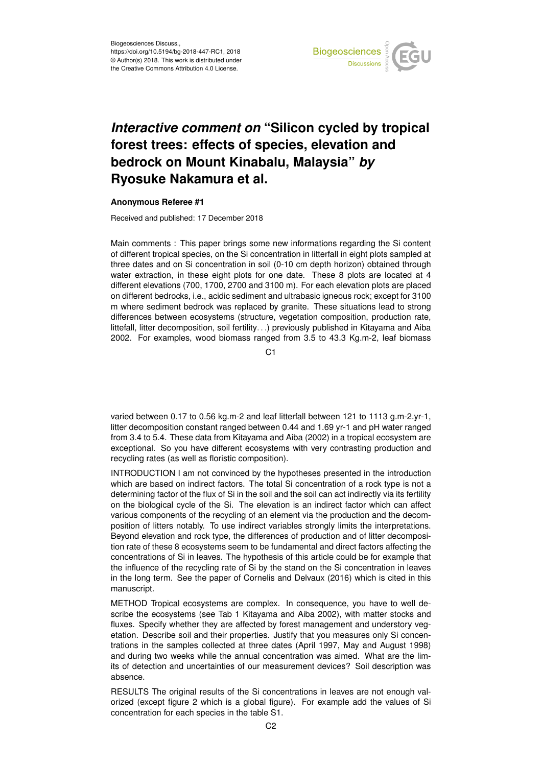

## *Interactive comment on* **"Silicon cycled by tropical forest trees: effects of species, elevation and bedrock on Mount Kinabalu, Malaysia"** *by* **Ryosuke Nakamura et al.**

## **Anonymous Referee #1**

Received and published: 17 December 2018

Main comments : This paper brings some new informations regarding the Si content of different tropical species, on the Si concentration in litterfall in eight plots sampled at three dates and on Si concentration in soil (0-10 cm depth horizon) obtained through water extraction, in these eight plots for one date. These 8 plots are located at 4 different elevations (700, 1700, 2700 and 3100 m). For each elevation plots are placed on different bedrocks, i.e., acidic sediment and ultrabasic igneous rock; except for 3100 m where sediment bedrock was replaced by granite. These situations lead to strong differences between ecosystems (structure, vegetation composition, production rate, littefall, litter decomposition, soil fertility. . .) previously published in Kitayama and Aiba 2002. For examples, wood biomass ranged from 3.5 to 43.3 Kg.m-2, leaf biomass

C1

varied between 0.17 to 0.56 kg.m-2 and leaf litterfall between 121 to 1113 g.m-2.yr-1, litter decomposition constant ranged between 0.44 and 1.69 yr-1 and pH water ranged from 3.4 to 5.4. These data from Kitayama and Aiba (2002) in a tropical ecosystem are exceptional. So you have different ecosystems with very contrasting production and recycling rates (as well as floristic composition).

INTRODUCTION I am not convinced by the hypotheses presented in the introduction which are based on indirect factors. The total Si concentration of a rock type is not a determining factor of the flux of Si in the soil and the soil can act indirectly via its fertility on the biological cycle of the Si. The elevation is an indirect factor which can affect various components of the recycling of an element via the production and the decomposition of litters notably. To use indirect variables strongly limits the interpretations. Beyond elevation and rock type, the differences of production and of litter decomposition rate of these 8 ecosystems seem to be fundamental and direct factors affecting the concentrations of Si in leaves. The hypothesis of this article could be for example that the influence of the recycling rate of Si by the stand on the Si concentration in leaves in the long term. See the paper of Cornelis and Delvaux (2016) which is cited in this manuscript.

METHOD Tropical ecosystems are complex. In consequence, you have to well describe the ecosystems (see Tab 1 Kitayama and Aiba 2002), with matter stocks and fluxes. Specify whether they are affected by forest management and understory vegetation. Describe soil and their properties. Justify that you measures only Si concentrations in the samples collected at three dates (April 1997, May and August 1998) and during two weeks while the annual concentration was aimed. What are the limits of detection and uncertainties of our measurement devices? Soil description was absence.

RESULTS The original results of the Si concentrations in leaves are not enough valorized (except figure 2 which is a global figure). For example add the values of Si concentration for each species in the table S1.